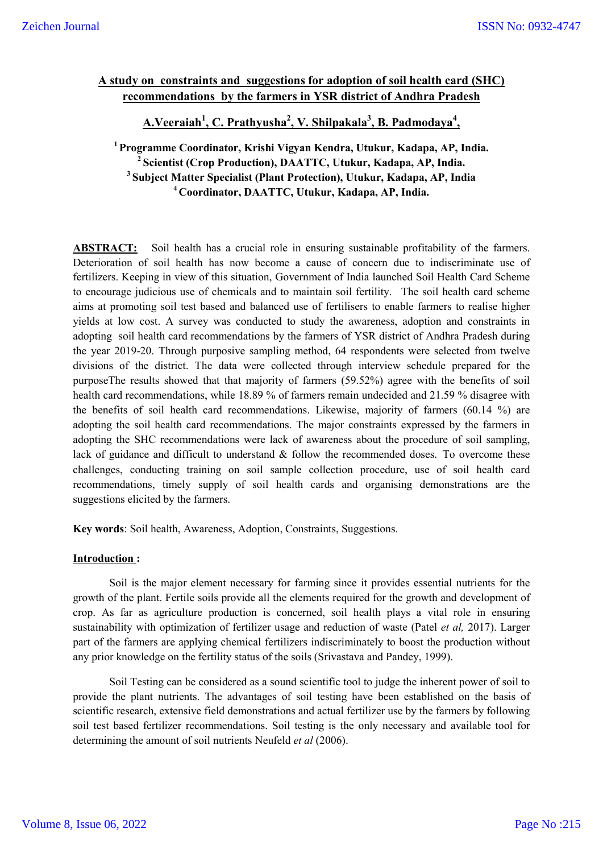# **A study on constraints and suggestions for adoption of soil health card (SHC) recommendations by the farmers in YSR district of Andhra Pradesh**

**A.Veeraiah<sup>1</sup> , C. Prathyusha2 , V. Shilpakala3 , B. Padmodaya<sup>4</sup> ,** 

**1 Programme Coordinator, Krishi Vigyan Kendra, Utukur, Kadapa, AP, India. 2 Scientist (Crop Production), DAATTC, Utukur, Kadapa, AP, India. <sup>3</sup> Subject Matter Specialist (Plant Protection), Utukur, Kadapa, AP, India 4 Coordinator, DAATTC, Utukur, Kadapa, AP, India.**

**ABSTRACT:** Soil health has a crucial role in ensuring sustainable profitability of the farmers. Deterioration of soil health has now become a cause of concern due to indiscriminate use of fertilizers. Keeping in view of this situation, Government of India launched Soil Health Card Scheme to encourage judicious use of chemicals and to maintain soil fertility. The soil health card scheme aims at promoting soil test based and balanced use of fertilisers to enable farmers to realise higher yields at low cost. A survey was conducted to study the awareness, adoption and constraints in adopting soil health card recommendations by the farmers of YSR district of Andhra Pradesh during the year 2019-20. Through purposive sampling method, 64 respondents were selected from twelve divisions of the district. The data were collected through interview schedule prepared for the purposeThe results showed that that majority of farmers (59.52%) agree with the benefits of soil health card recommendations, while 18.89 % of farmers remain undecided and 21.59 % disagree with the benefits of soil health card recommendations. Likewise, majority of farmers (60.14 %) are adopting the soil health card recommendations. The major constraints expressed by the farmers in adopting the SHC recommendations were lack of awareness about the procedure of soil sampling, lack of guidance and difficult to understand & follow the recommended doses. To overcome these challenges, conducting training on soil sample collection procedure, use of soil health card recommendations, timely supply of soil health cards and organising demonstrations are the suggestions elicited by the farmers.

**Key words**: Soil health, Awareness, Adoption, Constraints, Suggestions.

## **Introduction :**

Soil is the major element necessary for farming since it provides essential nutrients for the growth of the plant. Fertile soils provide all the elements required for the growth and development of crop. As far as agriculture production is concerned, soil health plays a vital role in ensuring sustainability with optimization of fertilizer usage and reduction of waste (Patel *et al,* 2017). Larger part of the farmers are applying chemical fertilizers indiscriminately to boost the production without any prior knowledge on the fertility status of the soils (Srivastava and Pandey, 1999).

Soil Testing can be considered as a sound scientific tool to judge the inherent power of soil to provide the plant nutrients. The advantages of soil testing have been established on the basis of scientific research, extensive field demonstrations and actual fertilizer use by the farmers by following soil test based fertilizer recommendations. Soil testing is the only necessary and available tool for determining the amount of soil nutrients Neufeld *et al* (2006).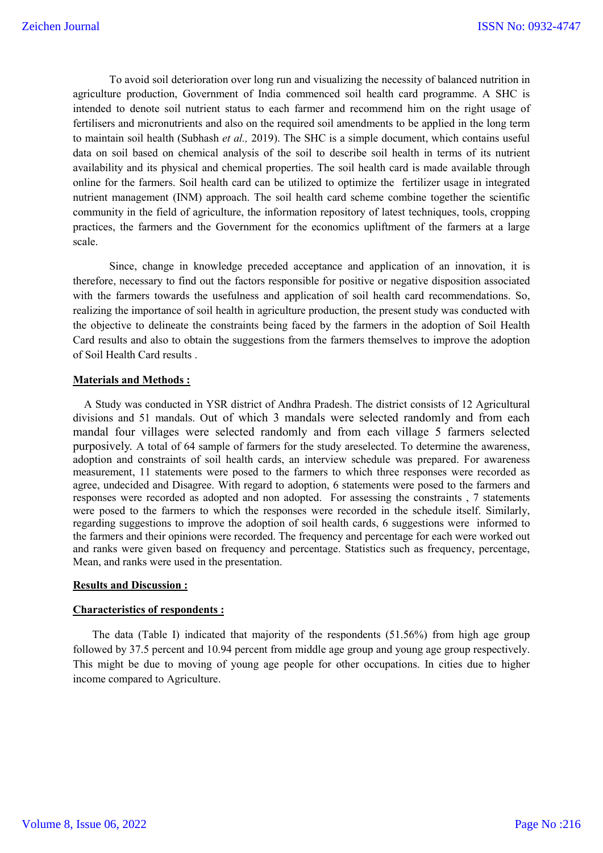To avoid soil deterioration over long run and visualizing the necessity of balanced nutrition in agriculture production, Government of India commenced soil health card programme. A SHC is intended to denote soil nutrient status to each farmer and recommend him on the right usage of fertilisers and micronutrients and also on the required soil amendments to be applied in the long term to maintain soil health (Subhash *et al.,* 2019). The SHC is a simple document, which contains useful data on soil based on chemical analysis of the soil to describe soil health in terms of its nutrient availability and its physical and chemical properties. The soil health card is made available through online for the farmers. Soil health card can be utilized to optimize the fertilizer usage in integrated nutrient management (INM) approach. The soil health card scheme combine together the scientific community in the field of agriculture, the information repository of latest techniques, tools, cropping practices, the farmers and the Government for the economics upliftment of the farmers at a large scale.

Since, change in knowledge preceded acceptance and application of an innovation, it is therefore, necessary to find out the factors responsible for positive or negative disposition associated with the farmers towards the usefulness and application of soil health card recommendations. So, realizing the importance of soil health in agriculture production, the present study was conducted with the objective to delineate the constraints being faced by the farmers in the adoption of Soil Health Card results and also to obtain the suggestions from the farmers themselves to improve the adoption of Soil Health Card results .

#### **Materials and Methods :**

A Study was conducted in YSR district of Andhra Pradesh. The district consists of 12 Agricultural divisions and 51 mandals. Out of which 3 mandals were selected randomly and from each mandal four villages were selected randomly and from each village 5 farmers selected purposively. A total of 64 sample of farmers for the study areselected. To determine the awareness, adoption and constraints of soil health cards, an interview schedule was prepared. For awareness measurement, 11 statements were posed to the farmers to which three responses were recorded as agree, undecided and Disagree. With regard to adoption, 6 statements were posed to the farmers and responses were recorded as adopted and non adopted. For assessing the constraints , 7 statements were posed to the farmers to which the responses were recorded in the schedule itself. Similarly, regarding suggestions to improve the adoption of soil health cards, 6 suggestions were informed to the farmers and their opinions were recorded. The frequency and percentage for each were worked out and ranks were given based on frequency and percentage. Statistics such as frequency, percentage, Mean, and ranks were used in the presentation.

## **Results and Discussion :**

#### **Characteristics of respondents :**

 The data (Table I) indicated that majority of the respondents (51.56%) from high age group followed by 37.5 percent and 10.94 percent from middle age group and young age group respectively. This might be due to moving of young age people for other occupations. In cities due to higher income compared to Agriculture.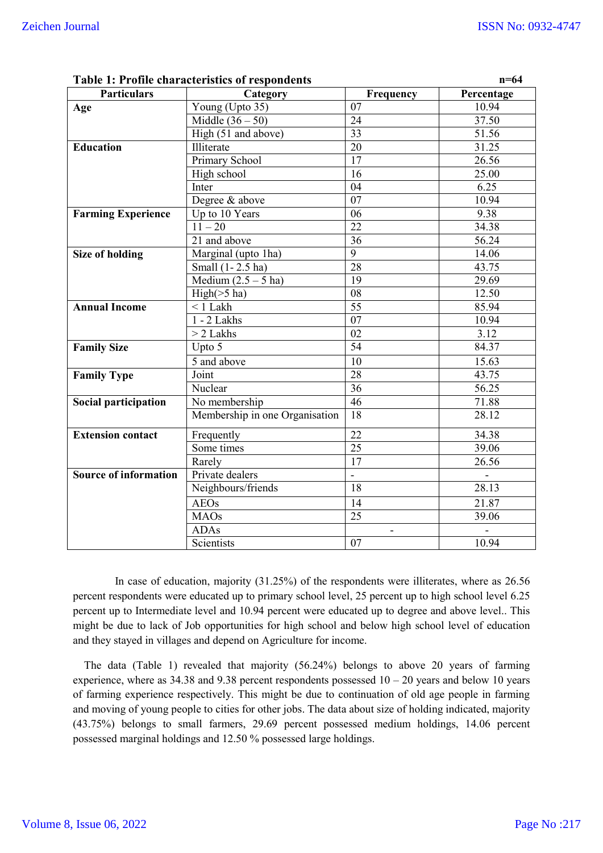| $n=64$<br><b>Table 1: Profile characteristics of respondents</b> |                                |                 |            |
|------------------------------------------------------------------|--------------------------------|-----------------|------------|
| <b>Particulars</b>                                               | Category                       | Frequency       | Percentage |
| Age                                                              | Young (Upto 35)                | 07              | 10.94      |
|                                                                  | Middle $(36-50)$               | $\overline{24}$ | 37.50      |
|                                                                  | High (51 and above)            | 33              | 51.56      |
| <b>Education</b>                                                 | Illiterate                     | 20              | 31.25      |
|                                                                  | Primary School                 | 17              | 26.56      |
|                                                                  | High school                    | 16              | 25.00      |
|                                                                  | Inter                          | 04              | 6.25       |
|                                                                  | Degree & above                 | 07              | 10.94      |
| <b>Farming Experience</b>                                        | Up to 10 Years                 | 06              | 9.38       |
|                                                                  | $11 - 20$                      | 22              | 34.38      |
|                                                                  | 21 and above                   | $\overline{36}$ | 56.24      |
| <b>Size of holding</b>                                           | Marginal (upto 1ha)            | $\overline{9}$  | 14.06      |
|                                                                  | Small (1-2.5 ha)               | 28              | 43.75      |
|                                                                  | Medium $(2.5 – 5)$ ha)         | 19              | 29.69      |
|                                                                  | High( > 5 ha)                  | 08              | 12.50      |
| <b>Annual Income</b>                                             | $< 1$ Lakh                     | $\overline{55}$ | 85.94      |
|                                                                  | $1 - 2$ Lakhs                  | 07              | 10.94      |
|                                                                  | $> 2$ Lakhs                    | 02              | 3.12       |
| <b>Family Size</b>                                               | Upto 5                         | $\overline{54}$ | 84.37      |
|                                                                  | 5 and above                    | 10              | 15.63      |
| <b>Family Type</b>                                               | Joint                          | 28              | 43.75      |
|                                                                  | Nuclear                        | 36              | 56.25      |
| Social participation                                             | No membership                  | $\overline{46}$ | 71.88      |
|                                                                  | Membership in one Organisation | $\overline{18}$ | 28.12      |
| <b>Extension contact</b>                                         | Frequently                     | 22              | 34.38      |
|                                                                  | Some times                     | 25              | 39.06      |
|                                                                  | Rarely                         | 17              | 26.56      |
| <b>Source of information</b>                                     | Private dealers                | $\frac{1}{2}$   |            |
|                                                                  | Neighbours/friends             | 18              | 28.13      |
|                                                                  | <b>AEOs</b>                    | 14              | 21.87      |
|                                                                  | <b>MAOs</b>                    | 25              | 39.06      |
|                                                                  | <b>ADAs</b>                    |                 |            |
|                                                                  | Scientists                     | 07              | 10.94      |

 In case of education, majority (31.25%) of the respondents were illiterates, where as 26.56 percent respondents were educated up to primary school level, 25 percent up to high school level 6.25 percent up to Intermediate level and 10.94 percent were educated up to degree and above level.. This might be due to lack of Job opportunities for high school and below high school level of education and they stayed in villages and depend on Agriculture for income.

 The data (Table 1) revealed that majority (56.24%) belongs to above 20 years of farming experience, where as 34.38 and 9.38 percent respondents possessed 10 – 20 years and below 10 years of farming experience respectively. This might be due to continuation of old age people in farming and moving of young people to cities for other jobs. The data about size of holding indicated, majority (43.75%) belongs to small farmers, 29.69 percent possessed medium holdings, 14.06 percent possessed marginal holdings and 12.50 % possessed large holdings.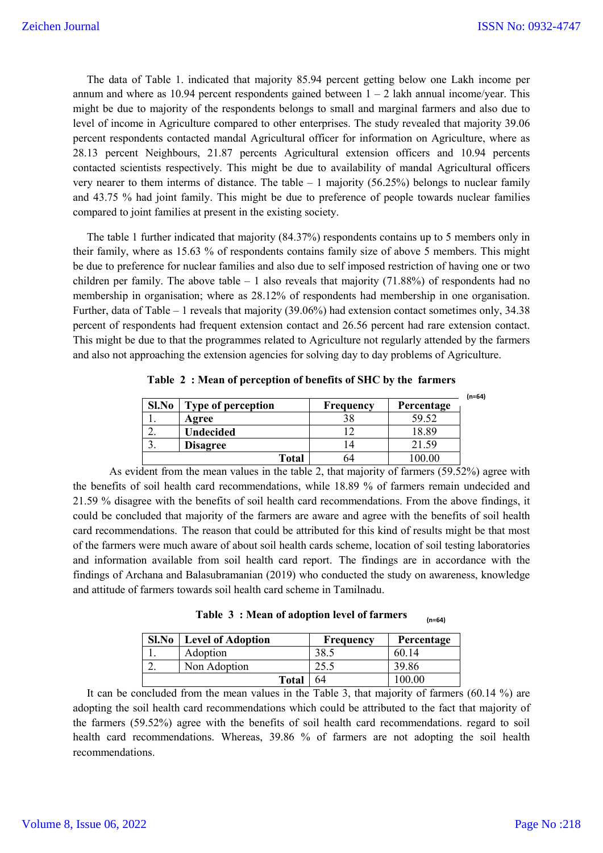The data of Table 1. indicated that majority 85.94 percent getting below one Lakh income per annum and where as 10.94 percent respondents gained between  $1 - 2$  lakh annual income/year. This might be due to majority of the respondents belongs to small and marginal farmers and also due to level of income in Agriculture compared to other enterprises. The study revealed that majority 39.06 percent respondents contacted mandal Agricultural officer for information on Agriculture, where as 28.13 percent Neighbours, 21.87 percents Agricultural extension officers and 10.94 percents contacted scientists respectively. This might be due to availability of mandal Agricultural officers very nearer to them interms of distance. The table  $-1$  majority (56.25%) belongs to nuclear family and 43.75 % had joint family. This might be due to preference of people towards nuclear families compared to joint families at present in the existing society.

 The table 1 further indicated that majority (84.37%) respondents contains up to 5 members only in their family, where as 15.63 % of respondents contains family size of above 5 members. This might be due to preference for nuclear families and also due to self imposed restriction of having one or two children per family. The above table  $-1$  also reveals that majority (71.88%) of respondents had no membership in organisation; where as 28.12% of respondents had membership in one organisation. Further, data of Table – 1 reveals that majority (39.06%) had extension contact sometimes only, 34.38 percent of respondents had frequent extension contact and 26.56 percent had rare extension contact. This might be due to that the programmes related to Agriculture not regularly attended by the farmers and also not approaching the extension agencies for solving day to day problems of Agriculture.

| Sl.No    | <b>Type of perception</b> | Frequency | Percentage | $(n=64)$ |
|----------|---------------------------|-----------|------------|----------|
| ı.       | Agree                     |           | 59.52      |          |
| <u>.</u> | <b>Undecided</b>          |           | 18.89      |          |
| . ر      | <b>Disagree</b>           |           | 21.59      |          |
|          | Total                     |           |            |          |

**Table 2 : Mean of perception of benefits of SHC by the farmers**

As evident from the mean values in the table 2, that majority of farmers (59.52%) agree with the benefits of soil health card recommendations, while 18.89 % of farmers remain undecided and 21.59 % disagree with the benefits of soil health card recommendations. From the above findings, it could be concluded that majority of the farmers are aware and agree with the benefits of soil health card recommendations. The reason that could be attributed for this kind of results might be that most of the farmers were much aware of about soil health cards scheme, location of soil testing laboratories and information available from soil health card report. The findings are in accordance with the findings of Archana and Balasubramanian (2019) who conducted the study on awareness, knowledge and attitude of farmers towards soil health card scheme in Tamilnadu.

**Table 3 : Mean of adoption level of farmers (n=64)**

| Sl.No | <b>Level of Adoption</b> | Frequency | Percentage |
|-------|--------------------------|-----------|------------|
|       | Adoption                 | 38.5      | 60.14      |
| ,.    | Non Adoption             |           | 39.86      |
| Total |                          | 64        | 00.00      |

 It can be concluded from the mean values in the Table 3, that majority of farmers (60.14 %) are adopting the soil health card recommendations which could be attributed to the fact that majority of the farmers (59.52%) agree with the benefits of soil health card recommendations. regard to soil health card recommendations. Whereas, 39.86 % of farmers are not adopting the soil health recommendations.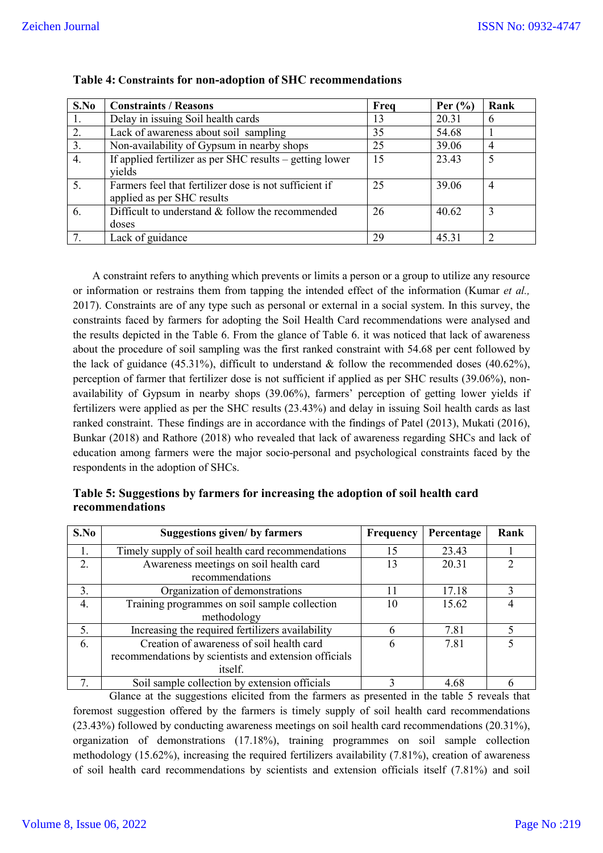| S.No | <b>Constraints / Reasons</b>                             | Freq | Per $(\% )$ | Rank |
|------|----------------------------------------------------------|------|-------------|------|
| 1.   | Delay in issuing Soil health cards                       | 13   | 20.31       | 6    |
| 2.   | Lack of awareness about soil sampling                    | 35   | 54.68       |      |
| 3.   | Non-availability of Gypsum in nearby shops               | 25   | 39.06       | 4    |
| 4.   | If applied fertilizer as per SHC results – getting lower | 15   | 23.43       | 5    |
|      | vields                                                   |      |             |      |
| 5.   | Farmers feel that fertilizer dose is not sufficient if   | 25   | 39.06       | 4    |
|      | applied as per SHC results                               |      |             |      |
| 6.   | Difficult to understand & follow the recommended         | 26   | 40.62       | 3    |
|      | doses                                                    |      |             |      |
|      | Lack of guidance                                         | 29   | 45.31       |      |

## **Table 4: Constraints for non-adoption of SHC recommendations**

 A constraint refers to anything which prevents or limits a person or a group to utilize any resource or information or restrains them from tapping the intended effect of the information (Kumar *et al.,* 2017). Constraints are of any type such as personal or external in a social system. In this survey, the constraints faced by farmers for adopting the Soil Health Card recommendations were analysed and the results depicted in the Table 6. From the glance of Table 6. it was noticed that lack of awareness about the procedure of soil sampling was the first ranked constraint with 54.68 per cent followed by the lack of guidance (45.31%), difficult to understand  $\&$  follow the recommended doses (40.62%), perception of farmer that fertilizer dose is not sufficient if applied as per SHC results (39.06%), nonavailability of Gypsum in nearby shops (39.06%), farmers' perception of getting lower yields if fertilizers were applied as per the SHC results (23.43%) and delay in issuing Soil health cards as last ranked constraint. These findings are in accordance with the findings of Patel (2013), Mukati (2016), Bunkar (2018) and Rathore (2018) who revealed that lack of awareness regarding SHCs and lack of education among farmers were the major socio-personal and psychological constraints faced by the respondents in the adoption of SHCs.

## **Table 5: Suggestions by farmers for increasing the adoption of soil health card recommendations**

| S.No | <b>Suggestions given/ by farmers</b>                                                                                 | Frequency | Percentage | Rank |
|------|----------------------------------------------------------------------------------------------------------------------|-----------|------------|------|
| 1.   | Timely supply of soil health card recommendations                                                                    | 15        | 23.43      |      |
| 2.   | Awareness meetings on soil health card<br>recommendations                                                            | 13        | 20.31      |      |
| 3.   | Organization of demonstrations                                                                                       | 11        | 17.18      |      |
| 4.   | Training programmes on soil sample collection<br>methodology                                                         | 10        | 15.62      |      |
| 5.   | Increasing the required fertilizers availability                                                                     | 6         | 7.81       |      |
| 6.   | Creation of awareness of soil health card<br>recommendations by scientists and extension officials<br><i>itself.</i> | 6         | 7.81       |      |
|      | Soil sample collection by extension officials                                                                        |           | 4.68       |      |

Glance at the suggestions elicited from the farmers as presented in the table 5 reveals that foremost suggestion offered by the farmers is timely supply of soil health card recommendations (23.43%) followed by conducting awareness meetings on soil health card recommendations (20.31%), organization of demonstrations (17.18%), training programmes on soil sample collection methodology (15.62%), increasing the required fertilizers availability (7.81%), creation of awareness of soil health card recommendations by scientists and extension officials itself (7.81%) and soil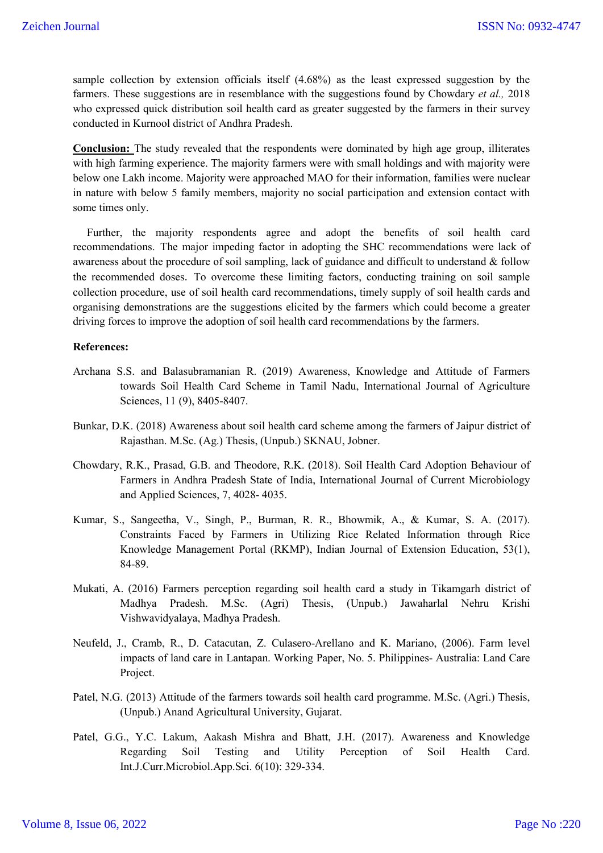sample collection by extension officials itself (4.68%) as the least expressed suggestion by the farmers. These suggestions are in resemblance with the suggestions found by Chowdary *et al.,* 2018 who expressed quick distribution soil health card as greater suggested by the farmers in their survey conducted in Kurnool district of Andhra Pradesh.

**Conclusion:** The study revealed that the respondents were dominated by high age group, illiterates with high farming experience. The majority farmers were with small holdings and with majority were below one Lakh income. Majority were approached MAO for their information, families were nuclear in nature with below 5 family members, majority no social participation and extension contact with some times only.

 Further, the majority respondents agree and adopt the benefits of soil health card recommendations. The major impeding factor in adopting the SHC recommendations were lack of awareness about the procedure of soil sampling, lack of guidance and difficult to understand & follow the recommended doses. To overcome these limiting factors, conducting training on soil sample collection procedure, use of soil health card recommendations, timely supply of soil health cards and organising demonstrations are the suggestions elicited by the farmers which could become a greater driving forces to improve the adoption of soil health card recommendations by the farmers.

### **References:**

- Archana S.S. and Balasubramanian R. (2019) Awareness, Knowledge and Attitude of Farmers towards Soil Health Card Scheme in Tamil Nadu, International Journal of Agriculture Sciences, 11 (9), 8405-8407.
- Bunkar, D.K. (2018) Awareness about soil health card scheme among the farmers of Jaipur district of Rajasthan. M.Sc. (Ag.) Thesis, (Unpub.) SKNAU, Jobner.
- Chowdary, R.K., Prasad, G.B. and Theodore, R.K. (2018). Soil Health Card Adoption Behaviour of Farmers in Andhra Pradesh State of India, International Journal of Current Microbiology and Applied Sciences, 7, 4028- 4035.
- Kumar, S., Sangeetha, V., Singh, P., Burman, R. R., Bhowmik, A., & Kumar, S. A. (2017). Constraints Faced by Farmers in Utilizing Rice Related Information through Rice Knowledge Management Portal (RKMP), Indian Journal of Extension Education, 53(1), 84-89.
- Mukati, A. (2016) Farmers perception regarding soil health card a study in Tikamgarh district of Madhya Pradesh. M.Sc. (Agri) Thesis, (Unpub.) Jawaharlal Nehru Krishi Vishwavidyalaya, Madhya Pradesh.
- Neufeld, J., Cramb, R., D. Catacutan, Z. Culasero-Arellano and K. Mariano, (2006). Farm level impacts of land care in Lantapan. Working Paper, No. 5. Philippines- Australia: Land Care Project.
- Patel, N.G. (2013) Attitude of the farmers towards soil health card programme. M.Sc. (Agri.) Thesis, (Unpub.) Anand Agricultural University, Gujarat.
- Patel, G.G., Y.C. Lakum, Aakash Mishra and Bhatt, J.H. (2017). Awareness and Knowledge Regarding Soil Testing and Utility Perception of Soil Health Card. Int.J.Curr.Microbiol.App.Sci. 6(10): 329-334.